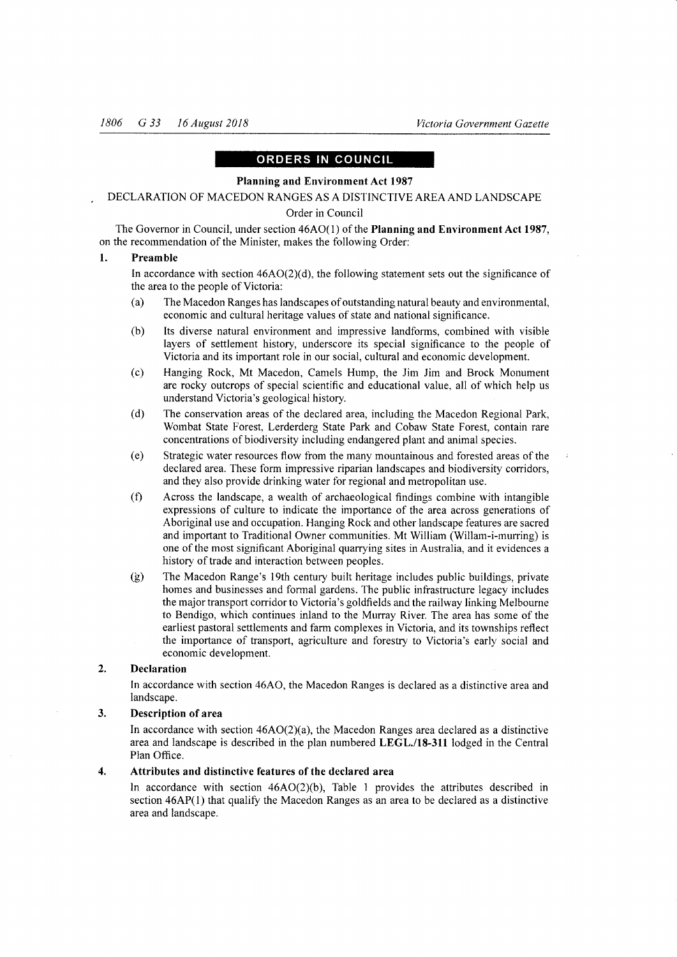## ORDERS IN COUNCIL

## Planning and Environment Act 1987

## DECLARATION OF MACEDON RANGES AS A DISTINCTIVEAREAAND LANDSCAPE Order in Council

The Governor in Council, under section  $46AO(1)$  of the Planning and Environment Act 1987, on the recommendation of the Minister, makes the following Order:

## 1. Preamble

In accordance with section  $46AO(2)(d)$ , the following statement sets out the significance of the area to the people of Victoria:

- (a) The Macedon Ranges has landscapes of outstanding natural beauty and environmental, economic and cultural heritage values of state and national significance.
- (b) Its diverse natural environment and impressive landforms, cornbined with visible layers of settlement history, underscore its special significance to the people of Victoria and its important role in our social, cultural and economic development.
- (c) Hanging Rock, Mt Macedon, Camels Hump, the Jim Jim and Brock Monument are rocky outcrops of special scientific and educational value, all of which help us understand Victoria's geological history.
- (d) The conservation areas of the declared area, including the Macedon Regional Park, Wombat State Forest, Lerderderg State Park and Cobaw State Forest, contain rare concentrations of biodiversity including endangered plant and animal species.
- (e) Strategic water resources flow from the many mountainous and forested areas of the declared area. These form impressive riparian landscapes and biodiversity corridors, and they also provide drinking water for regional and metropolitan use.
- $(f)$  Across the landscape, a wealth of archaeological findings combine with intangible expressions of culture to indicate the importance of the area across generations of Aboriginal use and occupation. Hanging Rock and other landscape features are sacred and important to Traditional Owner communities. Mt William (Willam-i-murring) is one of the most significant Aboriginal quarrying sites in Australia, and it evidences <sup>a</sup> history of trade and interaction between peoples.
- G) The Macedon Range's l9th century built heritage includes public buildings, private homes and businesses and formal gardens. The public infiastructure legacy includes the major transport corridor to Victoria's goldfields and the railway linking Melbourne to Bendigo, which continues inland to the Murray River. The area has some of the earliest pastoral settlements and farm complexes in Victoria, and its townships reflect the importance of transport, agriculture and forestry to Victoria's early social and economic development.

#### Declaration  $2<sub>1</sub>$

In accordance with section 46A0, the Macedon Ranges is declared as a distinctive area and landscape.

### Description of area 3.

In accordance with section 46AO(2)(a), the Macedon Ranges area declared as a distinctive area and landscape is described in the plan numbered LEGL./18-311 lodged in the Central Plan Office.

#### Attributes and distinctive features of the declared area 4.

In accordance with section  $46AO(2)(b)$ , Table 1 provides the attributes described in section 46AP(l) that qualify the Macedon Ranges as an area to be declared as a distinctive area and landscape.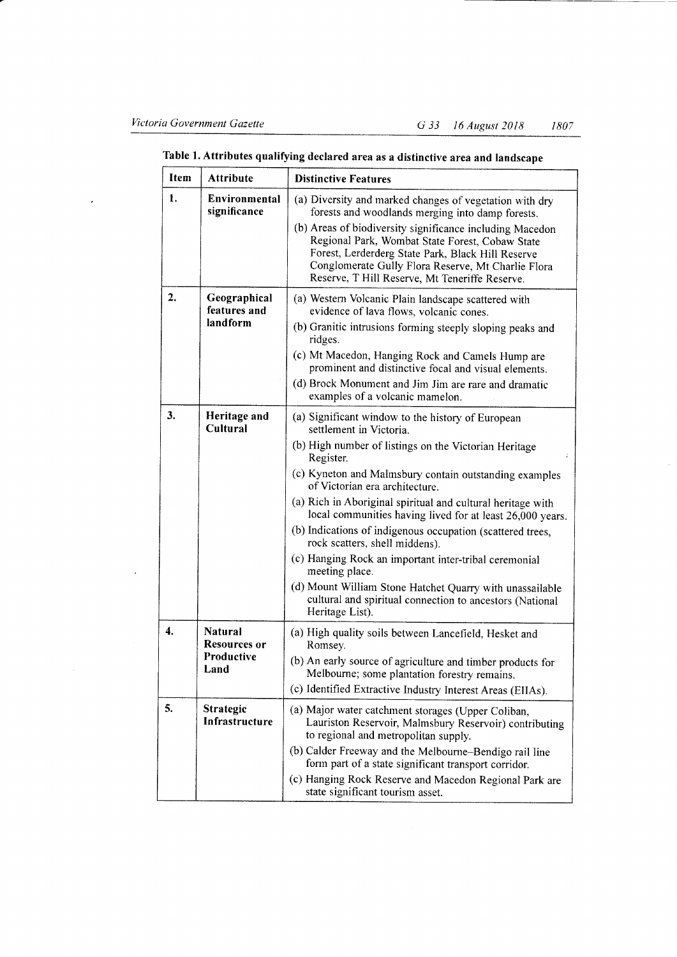| Item | <b>Attribute</b>                                            | <b>Distinctive Features</b>                                                                                                                                                                                                                                                                                                                                                                                                                                                                                                                                                                                                                                                                      |
|------|-------------------------------------------------------------|--------------------------------------------------------------------------------------------------------------------------------------------------------------------------------------------------------------------------------------------------------------------------------------------------------------------------------------------------------------------------------------------------------------------------------------------------------------------------------------------------------------------------------------------------------------------------------------------------------------------------------------------------------------------------------------------------|
| 1.   | Environmental<br>significance                               | (a) Diversity and marked changes of vegetation with dry<br>forests and woodlands merging into damp forests.<br>(b) Areas of biodiversity significance including Macedon<br>Regional Park, Wombat State Forest, Cobaw State<br>Forest, Lerderderg State Park, Black Hill Reserve<br>Conglomerate Gully Flora Reserve, Mt Charlie Flora<br>Reserve, T Hill Reserve, Mt Teneriffe Reserve.                                                                                                                                                                                                                                                                                                          |
| 2.   | Geographical<br>features and<br>landform                    | (a) Western Volcanic Plain landscape scattered with<br>evidence of lava flows, volcanic cones.<br>(b) Granitic intrusions forming steeply sloping peaks and<br>ridges.<br>(c) Mt Macedon, Hanging Rock and Camels Hump are<br>prominent and distinctive focal and visual elements.<br>(d) Brock Monument and Jim Jim are rare and dramatic<br>examples of a volcanic mamelon.                                                                                                                                                                                                                                                                                                                    |
| 3.   | Heritage and<br>Cultural                                    | (a) Significant window to the history of European<br>settlement in Victoria.<br>(b) High number of listings on the Victorian Heritage<br>Register.<br>(c) Kyneton and Malmsbury contain outstanding examples<br>of Victorian era architecture.<br>(a) Rich in Aboriginal spiritual and cultural heritage with<br>local communities having lived for at least 26,000 years.<br>(b) Indications of indigenous occupation (scattered trees,<br>rock scatters, shell middens).<br>(c) Hanging Rock an important inter-tribal ceremonial<br>meeting place.<br>(d) Mount William Stone Hatchet Quarry with unassailable<br>cultural and spiritual connection to ancestors (National<br>Heritage List). |
| 4.   | <b>Natural</b><br><b>Resources or</b><br>Productive<br>Land | (a) High quality soils between Lancefield, Hesket and<br>Romsey.<br>(b) An early source of agriculture and timber products for<br>Melbourne; some plantation forestry remains<br>(c) Identified Extractive Industry Interest Areas (EIIAs).                                                                                                                                                                                                                                                                                                                                                                                                                                                      |
| 5.   | <b>Strategic</b><br>Infrastructure                          | (a) Major water catchment storages (Upper Coliban,<br>Lauriston Reservoir, Malmsbury Reservoir) contributing<br>to regional and metropolitan supply.<br>(b) Calder Freeway and the Melbourne-Bendigo rail line<br>form part of a state significant transport corridor.<br>(c) Hanging Rock Reserve and Macedon Regional Park are<br>state significant tourism asset.                                                                                                                                                                                                                                                                                                                             |

# Table 1. Attributes qualifying declared area as a distinctive area and landscape